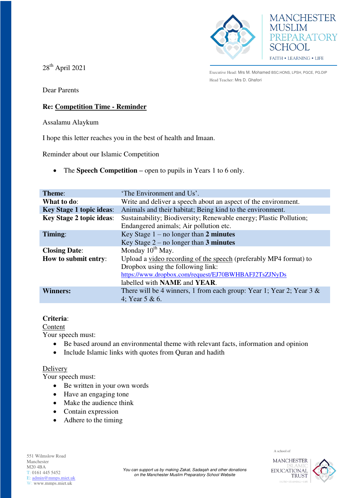



 $28<sup>th</sup>$  April 2021

Executive Head: Mrs M. Mohamed BSC.HONS, LPSH, PGCE, PG.DIP Head Teacher: Mrs D. Ghafori

Dear Parents

## **Re: Competition Time - Reminder**

Assalamu Alaykum

I hope this letter reaches you in the best of health and Imaan.

Reminder about our Islamic Competition

• The **Speech Competition** – open to pupils in Years 1 to 6 only.

| <b>Theme:</b>                   | 'The Environment and Us'.                                               |
|---------------------------------|-------------------------------------------------------------------------|
| What to do:                     | Write and deliver a speech about an aspect of the environment.          |
| <b>Key Stage 1 topic ideas:</b> | Animals and their habitat; Being kind to the environment.               |
| <b>Key Stage 2 topic ideas:</b> | Sustainability; Biodiversity; Renewable energy; Plastic Pollution;      |
|                                 | Endangered animals; Air pollution etc.                                  |
| Timing:                         | Key Stage $1 - no longer than 2 minutes$                                |
|                                 | Key Stage $2$ – no longer than 3 minutes                                |
| <b>Closing Date:</b>            | Monday $10^{th}$ May.                                                   |
| How to submit entry:            | Upload a video recording of the speech (preferably MP4 format) to       |
|                                 | Dropbox using the following link:                                       |
|                                 | https://www.dropbox.com/request/EJ70BWHBAFJ2TsZJNyDs                    |
|                                 | labelled with <b>NAME</b> and <b>YEAR</b> .                             |
| <b>Winners:</b>                 | There will be 4 winners, 1 from each group: Year 1; Year 2; Year 3 $\&$ |
|                                 | 4; Year 5 & 6.                                                          |

## **Criteria**:

Content

Your speech must:

- Be based around an environmental theme with relevant facts, information and opinion
- Include Islamic links with quotes from Quran and hadith

## **Delivery**

Your speech must:

- Be written in your own words
- Have an engaging tone
- Make the audience think
- Contain expression
- Adhere to the timing



A school of